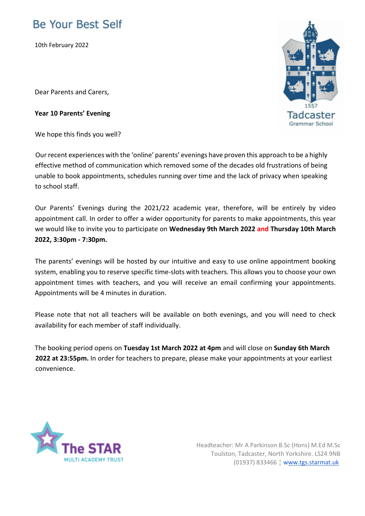## **Be Your Best Self**

10th February 2022

Dear Parents and Carers,

## **Year 10 Parents' Evening**

We hope this finds you well?

Our recent experiences with the 'online' parents' evenings have proven this approach to be a highly effective method of communication which removed some of the decades old frustrations of being unable to book appointments, schedules running over time and the lack of privacy when speaking to school staff.

Our Parents' Evenings during the 2021/22 academic year, therefore, will be entirely by video appointment call. In order to offer a wider opportunity for parents to make appointments, this year we would like to invite you to participate on **Wednesday 9th March 2022 and Thursday 10th March 2022, 3:30pm - 7:30pm.** 

The parents' evenings will be hosted by our intuitive and easy to use online appointment booking system, enabling you to reserve specific time-slots with teachers. This allows you to choose your own appointment times with teachers, and you will receive an email confirming your appointments. Appointments will be 4 minutes in duration.

Please note that not all teachers will be available on both evenings, and you will need to check availability for each member of staff individually.

The booking period opens on **Tuesday 1st March 2022 at 4pm** and will close on **Sunday 6th March 2022 at 23:55pm.** In order for teachers to prepare, please make your appointments at your earliest convenience.



Headteacher: Mr A Parkinson B.Sc (Hons) M.Ed M.Sc Toulston, Tadcaster, North Yorkshire. LS24 9NB (01937) 833466 ¦ www.tgs.starmat.uk